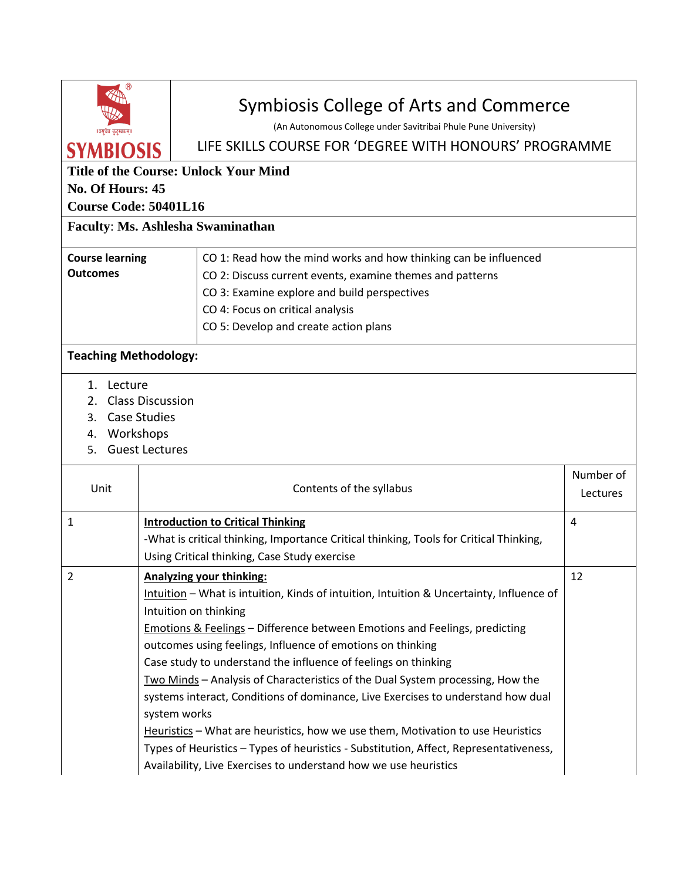| ॥वसुधैव कुटुम्बकम्।                          |                                                                     | Symbiosis College of Arts and Commerce<br>(An Autonomous College under Savitribai Phule Pune University)                                            |                       |  |  |
|----------------------------------------------|---------------------------------------------------------------------|-----------------------------------------------------------------------------------------------------------------------------------------------------|-----------------------|--|--|
| <b>SYMBIOSIS</b>                             |                                                                     | LIFE SKILLS COURSE FOR 'DEGREE WITH HONOURS' PROGRAMME                                                                                              |                       |  |  |
| <b>Title of the Course: Unlock Your Mind</b> |                                                                     |                                                                                                                                                     |                       |  |  |
| No. Of Hours: 45                             |                                                                     |                                                                                                                                                     |                       |  |  |
| <b>Course Code: 50401L16</b>                 |                                                                     |                                                                                                                                                     |                       |  |  |
| Faculty: Ms. Ashlesha Swaminathan            |                                                                     |                                                                                                                                                     |                       |  |  |
| <b>Course learning</b>                       |                                                                     | CO 1: Read how the mind works and how thinking can be influenced                                                                                    |                       |  |  |
| <b>Outcomes</b>                              |                                                                     | CO 2: Discuss current events, examine themes and patterns                                                                                           |                       |  |  |
|                                              |                                                                     | CO 3: Examine explore and build perspectives                                                                                                        |                       |  |  |
|                                              |                                                                     | CO 4: Focus on critical analysis                                                                                                                    |                       |  |  |
|                                              |                                                                     | CO 5: Develop and create action plans                                                                                                               |                       |  |  |
| <b>Teaching Methodology:</b>                 |                                                                     |                                                                                                                                                     |                       |  |  |
| 3.<br>4. Workshops<br>5.                     | 2. Class Discussion<br><b>Case Studies</b><br><b>Guest Lectures</b> |                                                                                                                                                     |                       |  |  |
| Unit                                         | Contents of the syllabus                                            |                                                                                                                                                     | Number of<br>Lectures |  |  |
| $\mathbf{1}$                                 |                                                                     | <b>Introduction to Critical Thinking</b>                                                                                                            | $\overline{4}$        |  |  |
|                                              |                                                                     | -What is critical thinking, Importance Critical thinking, Tools for Critical Thinking,                                                              |                       |  |  |
|                                              | Using Critical thinking, Case Study exercise                        |                                                                                                                                                     |                       |  |  |
| 2                                            |                                                                     | <b>Analyzing your thinking:</b>                                                                                                                     | 12                    |  |  |
|                                              |                                                                     | Intuition - What is intuition, Kinds of intuition, Intuition & Uncertainty, Influence of                                                            |                       |  |  |
|                                              | Intuition on thinking                                               |                                                                                                                                                     |                       |  |  |
|                                              |                                                                     | <b>Emotions &amp; Feelings - Difference between Emotions and Feelings, predicting</b><br>outcomes using feelings, Influence of emotions on thinking |                       |  |  |
|                                              |                                                                     | Case study to understand the influence of feelings on thinking                                                                                      |                       |  |  |
|                                              |                                                                     | Two Minds - Analysis of Characteristics of the Dual System processing, How the                                                                      |                       |  |  |
|                                              | system works                                                        | systems interact, Conditions of dominance, Live Exercises to understand how dual                                                                    |                       |  |  |
|                                              |                                                                     | Heuristics - What are heuristics, how we use them, Motivation to use Heuristics                                                                     |                       |  |  |
|                                              |                                                                     | Types of Heuristics - Types of heuristics - Substitution, Affect, Representativeness,                                                               |                       |  |  |
|                                              |                                                                     | Availability, Live Exercises to understand how we use heuristics                                                                                    |                       |  |  |